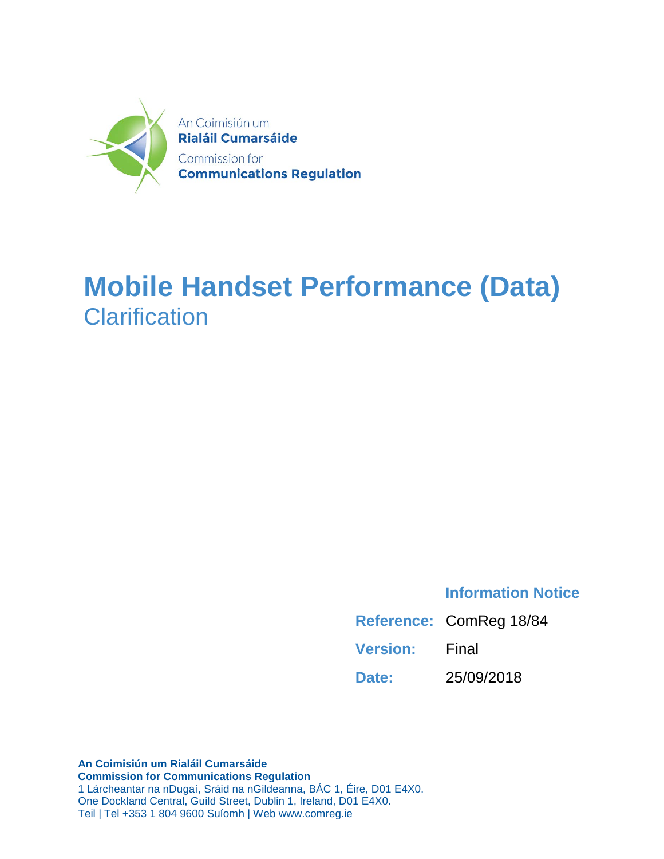

## **Mobile Handset Performance (Data) Clarification**

### **Information Notice**

|                 | Reference: ComReg 18/84 |
|-----------------|-------------------------|
| <b>Version:</b> | Final                   |
| Date:           | 25/09/2018              |

**An Coimisiún um Rialáil Cumarsáide Commission for Communications Regulation** 1 Lárcheantar na nDugaí, Sráid na nGildeanna, BÁC 1, Éire, D01 E4X0. One Dockland Central, Guild Street, Dublin 1, Ireland, D01 E4X0. Teil | Tel +353 1 804 9600 Suíomh | Web www.comreg.ie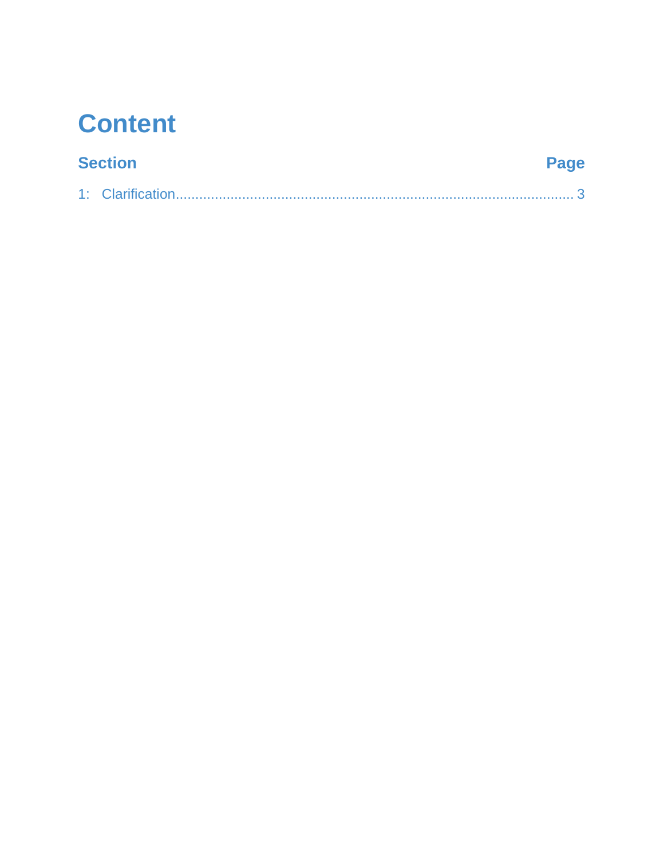## **Content**

### **Section**

## Page

|--|--|--|--|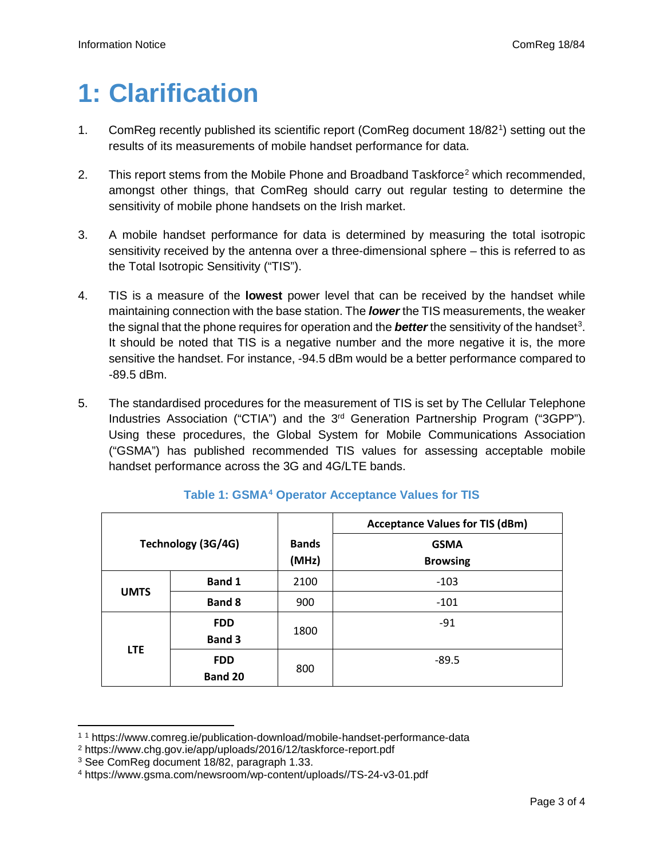# <span id="page-2-0"></span>**1: Clarification**

- [1](#page-2-1). ComReg recently published its scientific report (ComReg document 18/82<sup>1</sup>) setting out the results of its measurements of mobile handset performance for data.
- [2](#page-2-2). This report stems from the Mobile Phone and Broadband Taskforce<sup>2</sup> which recommended, amongst other things, that ComReg should carry out regular testing to determine the sensitivity of mobile phone handsets on the Irish market.
- 3. A mobile handset performance for data is determined by measuring the total isotropic sensitivity received by the antenna over a three-dimensional sphere – this is referred to as the Total Isotropic Sensitivity ("TIS").
- 4. TIS is a measure of the **lowest** power level that can be received by the handset while maintaining connection with the base station. The *lower* the TIS measurements, the weaker the signal that the phone requires for operation and the *better* the sensitivity of the handset<sup>[3](#page-2-3)</sup>. It should be noted that TIS is a negative number and the more negative it is, the more sensitive the handset. For instance, -94.5 dBm would be a better performance compared to -89.5 dBm.
- 5. The standardised procedures for the measurement of TIS is set by The Cellular Telephone Industries Association ("CTIA") and the 3<sup>rd</sup> Generation Partnership Program ("3GPP"). Using these procedures, the Global System for Mobile Communications Association ("GSMA") has published recommended TIS values for assessing acceptable mobile handset performance across the 3G and 4G/LTE bands.

|                    |                                     |                       | <b>Acceptance Values for TIS (dBm)</b> |
|--------------------|-------------------------------------|-----------------------|----------------------------------------|
| Technology (3G/4G) |                                     | <b>Bands</b><br>(MHz) | <b>GSMA</b><br><b>Browsing</b>         |
|                    | <b>Band 1</b>                       | 2100                  | $-103$                                 |
| <b>UMTS</b>        | <b>Band 8</b>                       | 900                   | $-101$                                 |
|                    | <b>FDD</b><br><b>Band 3</b>         | 1800                  | $-91$                                  |
|                    | <b>LTE</b><br><b>FDD</b><br>Band 20 | 800                   | $-89.5$                                |

### **Table 1: GSMA[4](#page-2-4) Operator Acceptance Values for TIS**

 $\overline{a}$ 

<span id="page-2-1"></span><sup>1</sup> <sup>1</sup> https://www.comreg.ie/publication-download/mobile-handset-performance-data

<span id="page-2-2"></span><sup>2</sup> https://www.chg.gov.ie/app/uploads/2016/12/taskforce-report.pdf

<span id="page-2-3"></span><sup>3</sup> See ComReg document 18/82, paragraph 1.33.

<span id="page-2-4"></span><sup>4</sup> https://www.gsma.com/newsroom/wp-content/uploads//TS-24-v3-01.pdf